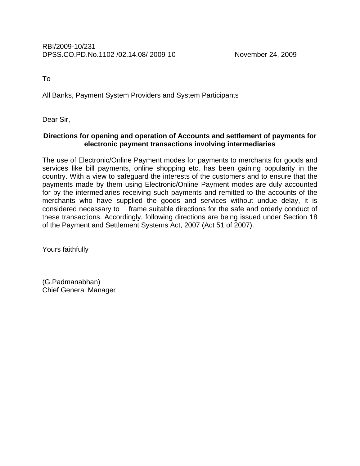To

All Banks, Payment System Providers and System Participants

Dear Sir,

#### **Directions for opening and operation of Accounts and settlement of payments for electronic payment transactions involving intermediaries**

The use of Electronic/Online Payment modes for payments to merchants for goods and services like bill payments, online shopping etc. has been gaining popularity in the country. With a view to safeguard the interests of the customers and to ensure that the payments made by them using Electronic/Online Payment modes are duly accounted for by the intermediaries receiving such payments and remitted to the accounts of the merchants who have supplied the goods and services without undue delay, it is considered necessary to frame suitable directions for the safe and orderly conduct of these transactions. Accordingly, following directions are being issued under Section 18 of the Payment and Settlement Systems Act, 2007 (Act 51 of 2007).

Yours faithfully

(G.Padmanabhan) Chief General Manager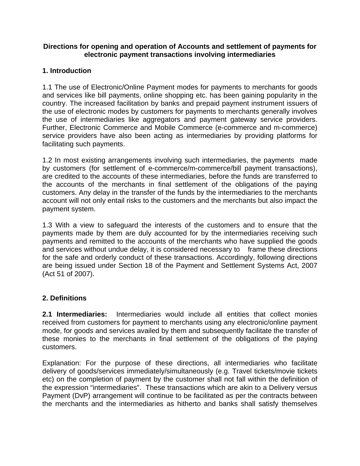#### **Directions for opening and operation of Accounts and settlement of payments for electronic payment transactions involving intermediaries**

## **1. Introduction**

1.1 The use of Electronic/Online Payment modes for payments to merchants for goods and services like bill payments, online shopping etc. has been gaining popularity in the country. The increased facilitation by banks and prepaid payment instrument issuers of the use of electronic modes by customers for payments to merchants generally involves the use of intermediaries like aggregators and payment gateway service providers. Further, Electronic Commerce and Mobile Commerce (e-commerce and m-commerce) service providers have also been acting as intermediaries by providing platforms for facilitating such payments.

1.2 In most existing arrangements involving such intermediaries, the payments made by customers (for settlement of e-commerce/m-commerce/bill payment transactions), are credited to the accounts of these intermediaries, before the funds are transferred to the accounts of the merchants in final settlement of the obligations of the paying customers. Any delay in the transfer of the funds by the intermediaries to the merchants account will not only entail risks to the customers and the merchants but also impact the payment system.

1.3 With a view to safeguard the interests of the customers and to ensure that the payments made by them are duly accounted for by the intermediaries receiving such payments and remitted to the accounts of the merchants who have supplied the goods and services without undue delay, it is considered necessary to frame these directions for the safe and orderly conduct of these transactions. Accordingly, following directions are being issued under Section 18 of the Payment and Settlement Systems Act, 2007 (Act 51 of 2007).

# **2. Definitions**

**2.1 Intermediaries:** Intermediaries would include all entities that collect monies received from customers for payment to merchants using any electronic/online payment mode, for goods and services availed by them and subsequently facilitate the transfer of these monies to the merchants in final settlement of the obligations of the paying customers.

Explanation: For the purpose of these directions, all intermediaries who facilitate delivery of goods/services immediately/simultaneously (e.g. Travel tickets/movie tickets etc) on the completion of payment by the customer shall not fall within the definition of the expression "intermediaries". These transactions which are akin to a Delivery versus Payment (DvP) arrangement will continue to be facilitated as per the contracts between the merchants and the intermediaries as hitherto and banks shall satisfy themselves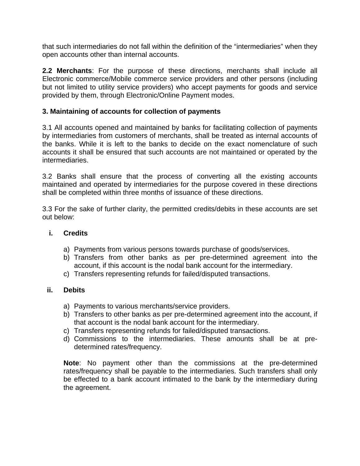that such intermediaries do not fall within the definition of the "intermediaries" when they open accounts other than internal accounts.

**2.2 Merchants**: For the purpose of these directions, merchants shall include all Electronic commerce/Mobile commerce service providers and other persons (including but not limited to utility service providers) who accept payments for goods and service provided by them, through Electronic/Online Payment modes.

### **3. Maintaining of accounts for collection of payments**

3.1 All accounts opened and maintained by banks for facilitating collection of payments by intermediaries from customers of merchants, shall be treated as internal accounts of the banks. While it is left to the banks to decide on the exact nomenclature of such accounts it shall be ensured that such accounts are not maintained or operated by the intermediaries.

3.2 Banks shall ensure that the process of converting all the existing accounts maintained and operated by intermediaries for the purpose covered in these directions shall be completed within three months of issuance of these directions.

3.3 For the sake of further clarity, the permitted credits/debits in these accounts are set out below:

#### **i. Credits**

- a) Payments from various persons towards purchase of goods/services.
- b) Transfers from other banks as per pre-determined agreement into the account, if this account is the nodal bank account for the intermediary.
- c) Transfers representing refunds for failed/disputed transactions.

#### **ii. Debits**

- a) Payments to various merchants/service providers.
- b) Transfers to other banks as per pre-determined agreement into the account, if that account is the nodal bank account for the intermediary.
- c) Transfers representing refunds for failed/disputed transactions.
- d) Commissions to the intermediaries. These amounts shall be at predetermined rates/frequency.

**Note**: No payment other than the commissions at the pre-determined rates/frequency shall be payable to the intermediaries. Such transfers shall only be effected to a bank account intimated to the bank by the intermediary during the agreement.